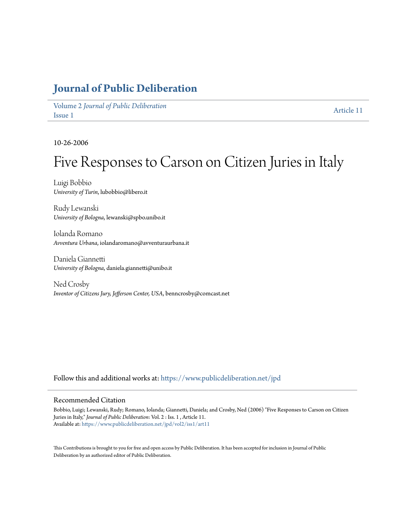## **[Journal of Public Deliberation](https://www.publicdeliberation.net/jpd?utm_source=www.publicdeliberation.net%2Fjpd%2Fvol2%2Fiss1%2Fart11&utm_medium=PDF&utm_campaign=PDFCoverPages)**

Volume 2 *[Journal of Public Deliberation](https://www.publicdeliberation.net/jpd/vol2?utm_source=www.publicdeliberation.net%2Fjpd%2Fvol2%2Fiss1%2Fart11&utm_medium=PDF&utm_campaign=PDFCoverPages)* [Issue 1](https://www.publicdeliberation.net/jpd/vol2/iss1?utm_source=www.publicdeliberation.net%2Fjpd%2Fvol2%2Fiss1%2Fart11&utm_medium=PDF&utm_campaign=PDFCoverPages) [Article 11](https://www.publicdeliberation.net/jpd/vol2/iss1/art11?utm_source=www.publicdeliberation.net%2Fjpd%2Fvol2%2Fiss1%2Fart11&utm_medium=PDF&utm_campaign=PDFCoverPages)

10-26-2006

# Five Responses to Carson on Citizen Juries in Italy

Luigi Bobbio *University of Turin*, lubobbio@libero.it

Rudy Lewanski *University of Bologna*, lewanski@spbo.unibo.it

Iolanda Romano *Avventura Urbana*, iolandaromano@avventuraurbana.it

Daniela Giannetti *University of Bologna*, daniela.giannetti@unibo.it

Ned Crosby *Inventor of Citizens Jury, Jefferson Center, USA*, benncrosby@comcast.net

Follow this and additional works at: [https://www.publicdeliberation.net/jpd](https://www.publicdeliberation.net/jpd?utm_source=www.publicdeliberation.net%2Fjpd%2Fvol2%2Fiss1%2Fart11&utm_medium=PDF&utm_campaign=PDFCoverPages)

#### Recommended Citation

Bobbio, Luigi; Lewanski, Rudy; Romano, Iolanda; Giannetti, Daniela; and Crosby, Ned (2006) "Five Responses to Carson on Citizen Juries in Italy," *Journal of Public Deliberation*: Vol. 2 : Iss. 1 , Article 11. Available at: [https://www.publicdeliberation.net/jpd/vol2/iss1/art11](https://www.publicdeliberation.net/jpd/vol2/iss1/art11?utm_source=www.publicdeliberation.net%2Fjpd%2Fvol2%2Fiss1%2Fart11&utm_medium=PDF&utm_campaign=PDFCoverPages)

This Contributions is brought to you for free and open access by Public Deliberation. It has been accepted for inclusion in Journal of Public Deliberation by an authorized editor of Public Deliberation.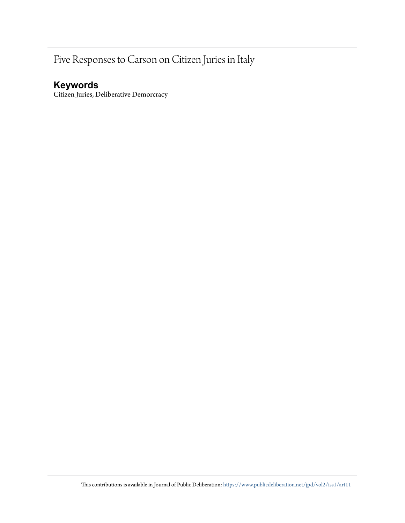# Five Responses to Carson on Citizen Juries in Italy

### **Keywords**

Citizen Juries, Deliberative Demorcracy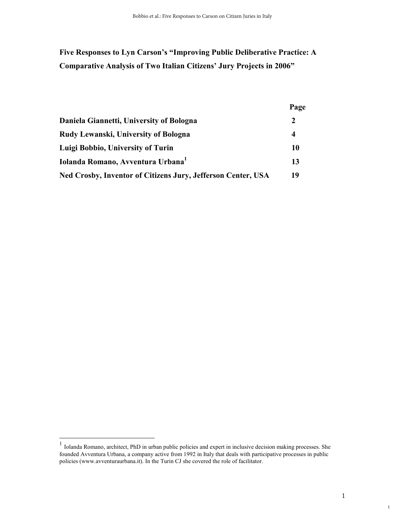### **Five Responses to Lyn Carson's "Improving Public Deliberative Practice: A Comparative Analysis of Two Italian Citizens' Jury Projects in 2006"**

|                                                              | Page          |
|--------------------------------------------------------------|---------------|
| Daniela Giannetti, University of Bologna                     | $\mathcal{L}$ |
| Rudy Lewanski, University of Bologna                         | 4             |
| Luigi Bobbio, University of Turin                            | 10            |
| Iolanda Romano, Avventura Urbana <sup>1</sup>                | 13            |
| Ned Crosby, Inventor of Citizens Jury, Jefferson Center, USA | 19            |

<sup>&</sup>lt;sup>1</sup> Iolanda Romano, architect, PhD in urban public policies and expert in inclusive decision making processes. She founded Avventura Urbana, a company active from 1992 in Italy that deals with participative processes in public policies (www.avventuraurbana.it). In the Turin CJ she covered the role of facilitator.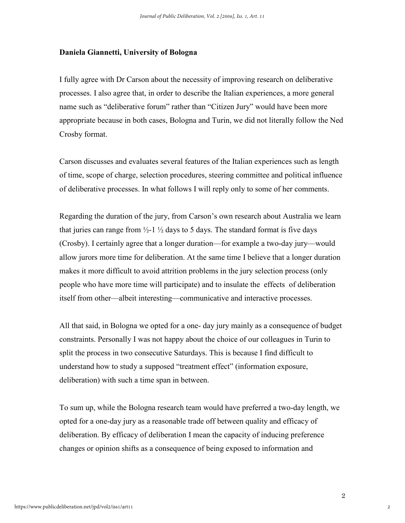#### **Daniela Giannetti, University of Bologna**

I fully agree with Dr Carson about the necessity of improving research on deliberative processes. I also agree that, in order to describe the Italian experiences, a more general name such as "deliberative forum" rather than "Citizen Jury" would have been more appropriate because in both cases, Bologna and Turin, we did not literally follow the Ned Crosby format.

Carson discusses and evaluates several features of the Italian experiences such as length of time, scope of charge, selection procedures, steering committee and political influence of deliberative processes. In what follows I will reply only to some of her comments.

Regarding the duration of the jury, from Carson's own research about Australia we learn that juries can range from  $\frac{1}{2}$ -1  $\frac{1}{2}$  days to 5 days. The standard format is five days (Crosby). I certainly agree that a longer duration—for example a two-day jury—would allow jurors more time for deliberation. At the same time I believe that a longer duration makes it more difficult to avoid attrition problems in the jury selection process (only people who have more time will participate) and to insulate the effects of deliberation itself from other—albeit interesting—communicative and interactive processes.

All that said, in Bologna we opted for a one- day jury mainly as a consequence of budget constraints. Personally I was not happy about the choice of our colleagues in Turin to split the process in two consecutive Saturdays. This is because I find difficult to understand how to study a supposed "treatment effect" (information exposure, deliberation) with such a time span in between.

To sum up, while the Bologna research team would have preferred a two-day length, we opted for a one-day jury as a reasonable trade off between quality and efficacy of deliberation. By efficacy of deliberation I mean the capacity of inducing preference changes or opinion shifts as a consequence of being exposed to information and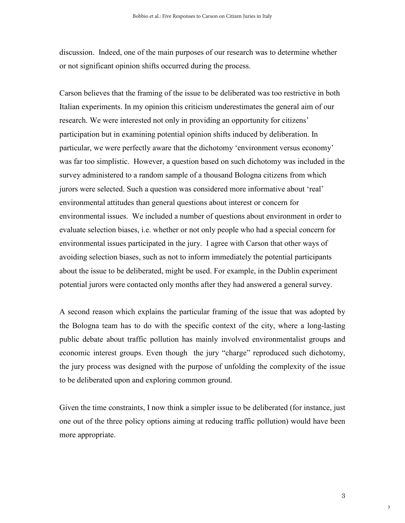discussion. Indeed, one of the main purposes of our research was to determine whether or not significant opinion shifts occurred during the process.

Carson believes that the framing of the issue to be deliberated was too restrictive in both Italian experiments. In my opinion this criticism underestimates the general aim of our research. We were interested not only in providing an opportunity for citizens' participation but in examining potential opinion shifts induced by deliberation. In particular, we were perfectly aware that the dichotomy 'environment versus economy' was far too simplistic. However, a question based on such dichotomy was included in the survey administered to a random sample of a thousand Bologna citizens from which jurors were selected. Such a question was considered more informative about 'real' environmental attitudes than general questions about interest or concern for environmental issues. We included a number of questions about environment in order to evaluate selection biases, i.e. whether or not only people who had a special concern for environmental issues participated in the jury. I agree with Carson that other ways of avoiding selection biases, such as not to inform immediately the potential participants about the issue to be deliberated, might be used. For example, in the Dublin experiment potential jurors were contacted only months after they had answered a general survey.

A second reason which explains the particular framing of the issue that was adopted by the Bologna team has to do with the specific context of the city, where a long-lasting public debate about traffic pollution has mainly involved environmentalist groups and economic interest groups. Even though the jury "charge" reproduced such dichotomy, the jury process was designed with the purpose of unfolding the complexity of the issue to be deliberated upon and exploring common ground.

Given the time constraints, I now think a simpler issue to be deliberated (for instance, just one out of the three policy options aiming at reducing traffic pollution) would have been more appropriate.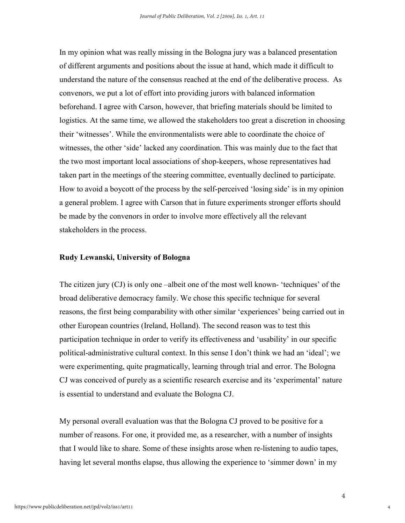In my opinion what was really missing in the Bologna jury was a balanced presentation of different arguments and positions about the issue at hand, which made it difficult to understand the nature of the consensus reached at the end of the deliberative process. As convenors, we put a lot of effort into providing jurors with balanced information beforehand. I agree with Carson, however, that briefing materials should be limited to logistics. At the same time, we allowed the stakeholders too great a discretion in choosing their 'witnesses'. While the environmentalists were able to coordinate the choice of witnesses, the other 'side' lacked any coordination. This was mainly due to the fact that the two most important local associations of shop-keepers, whose representatives had taken part in the meetings of the steering committee, eventually declined to participate. How to avoid a boycott of the process by the self-perceived 'losing side' is in my opinion a general problem. I agree with Carson that in future experiments stronger efforts should be made by the convenors in order to involve more effectively all the relevant stakeholders in the process.

#### **Rudy Lewanski, University of Bologna**

The citizen jury (CJ) is only one –albeit one of the most well known- 'techniques' of the broad deliberative democracy family. We chose this specific technique for several reasons, the first being comparability with other similar 'experiences' being carried out in other European countries (Ireland, Holland). The second reason was to test this participation technique in order to verify its effectiveness and 'usability' in our specific political-administrative cultural context. In this sense I don't think we had an 'ideal'; we were experimenting, quite pragmatically, learning through trial and error. The Bologna CJ was conceived of purely as a scientific research exercise and its 'experimental' nature is essential to understand and evaluate the Bologna CJ.

My personal overall evaluation was that the Bologna CJ proved to be positive for a number of reasons. For one, it provided me, as a researcher, with a number of insights that I would like to share. Some of these insights arose when re-listening to audio tapes, having let several months elapse, thus allowing the experience to 'simmer down' in my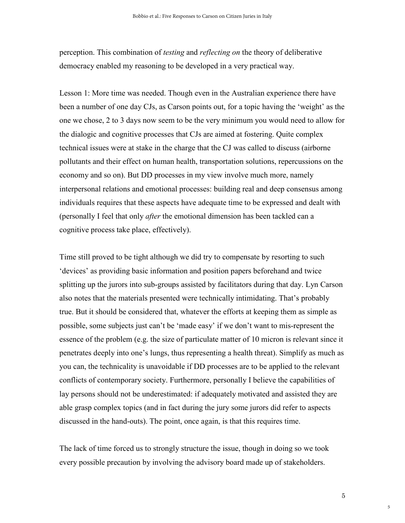perception. This combination of *testing* and *reflecting on* the theory of deliberative democracy enabled my reasoning to be developed in a very practical way.

Lesson 1: More time was needed. Though even in the Australian experience there have been a number of one day CJs, as Carson points out, for a topic having the 'weight' as the one we chose, 2 to 3 days now seem to be the very minimum you would need to allow for the dialogic and cognitive processes that CJs are aimed at fostering. Quite complex technical issues were at stake in the charge that the CJ was called to discuss (airborne pollutants and their effect on human health, transportation solutions, repercussions on the economy and so on). But DD processes in my view involve much more, namely interpersonal relations and emotional processes: building real and deep consensus among individuals requires that these aspects have adequate time to be expressed and dealt with (personally I feel that only *after* the emotional dimension has been tackled can a cognitive process take place, effectively).

Time still proved to be tight although we did try to compensate by resorting to such 'devices' as providing basic information and position papers beforehand and twice splitting up the jurors into sub-groups assisted by facilitators during that day. Lyn Carson also notes that the materials presented were technically intimidating. That's probably true. But it should be considered that, whatever the efforts at keeping them as simple as possible, some subjects just can't be 'made easy' if we don't want to mis-represent the essence of the problem (e.g. the size of particulate matter of 10 micron is relevant since it penetrates deeply into one's lungs, thus representing a health threat). Simplify as much as you can, the technicality is unavoidable if DD processes are to be applied to the relevant conflicts of contemporary society. Furthermore, personally I believe the capabilities of lay persons should not be underestimated: if adequately motivated and assisted they are able grasp complex topics (and in fact during the jury some jurors did refer to aspects discussed in the hand-outs). The point, once again, is that this requires time.

The lack of time forced us to strongly structure the issue, though in doing so we took every possible precaution by involving the advisory board made up of stakeholders.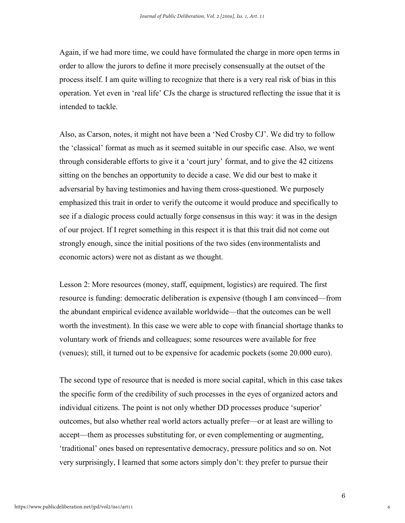Again, if we had more time, we could have formulated the charge in more open terms in order to allow the jurors to define it more precisely consensually at the outset of the process itself. I am quite willing to recognize that there is a very real risk of bias in this operation. Yet even in 'real life' CJs the charge is structured reflecting the issue that it is intended to tackle.

Also, as Carson, notes, it might not have been a 'Ned Crosby CJ'. We did try to follow the 'classical' format as much as it seemed suitable in our specific case. Also, we went through considerable efforts to give it a 'court jury' format, and to give the 42 citizens sitting on the benches an opportunity to decide a case. We did our best to make it adversarial by having testimonies and having them cross-questioned. We purposely emphasized this trait in order to verify the outcome it would produce and specifically to see if a dialogic process could actually forge consensus in this way: it was in the design of our project. If I regret something in this respect it is that this trait did not come out strongly enough, since the initial positions of the two sides (environmentalists and economic actors) were not as distant as we thought.

Lesson 2: More resources (money, staff, equipment, logistics) are required. The first resource is funding: democratic deliberation is expensive (though I am convinced—from the abundant empirical evidence available worldwide—that the outcomes can be well worth the investment). In this case we were able to cope with financial shortage thanks to voluntary work of friends and colleagues; some resources were available for free (venues); still, it turned out to be expensive for academic pockets (some 20.000 euro).

The second type of resource that is needed is more social capital, which in this case takes the specific form of the credibility of such processes in the eyes of organized actors and individual citizens. The point is not only whether DD processes produce 'superior' outcomes, but also whether real world actors actually prefer—or at least are willing to accept—them as processes substituting for, or even complementing or augmenting, 'traditional' ones based on representative democracy, pressure politics and so on. Not very surprisingly, I learned that some actors simply don't: they prefer to pursue their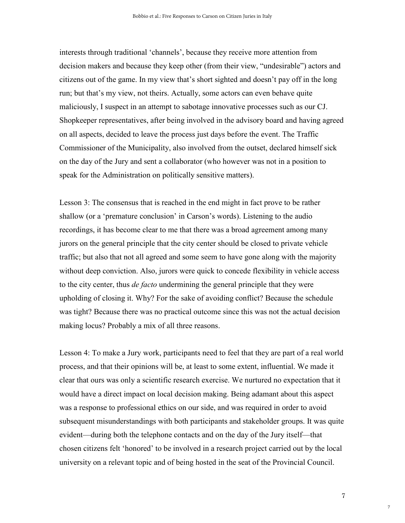interests through traditional 'channels', because they receive more attention from decision makers and because they keep other (from their view, "undesirable") actors and citizens out of the game. In my view that's short sighted and doesn't pay off in the long run; but that's my view, not theirs. Actually, some actors can even behave quite maliciously, I suspect in an attempt to sabotage innovative processes such as our CJ. Shopkeeper representatives, after being involved in the advisory board and having agreed on all aspects, decided to leave the process just days before the event. The Traffic Commissioner of the Municipality, also involved from the outset, declared himself sick on the day of the Jury and sent a collaborator (who however was not in a position to speak for the Administration on politically sensitive matters).

Lesson 3: The consensus that is reached in the end might in fact prove to be rather shallow (or a 'premature conclusion' in Carson's words). Listening to the audio recordings, it has become clear to me that there was a broad agreement among many jurors on the general principle that the city center should be closed to private vehicle traffic; but also that not all agreed and some seem to have gone along with the majority without deep conviction. Also, jurors were quick to concede flexibility in vehicle access to the city center, thus *de facto* undermining the general principle that they were upholding of closing it. Why? For the sake of avoiding conflict? Because the schedule was tight? Because there was no practical outcome since this was not the actual decision making locus? Probably a mix of all three reasons.

Lesson 4: To make a Jury work, participants need to feel that they are part of a real world process, and that their opinions will be, at least to some extent, influential. We made it clear that ours was only a scientific research exercise. We nurtured no expectation that it would have a direct impact on local decision making. Being adamant about this aspect was a response to professional ethics on our side, and was required in order to avoid subsequent misunderstandings with both participants and stakeholder groups. It was quite evident—during both the telephone contacts and on the day of the Jury itself—that chosen citizens felt 'honored' to be involved in a research project carried out by the local university on a relevant topic and of being hosted in the seat of the Provincial Council.

7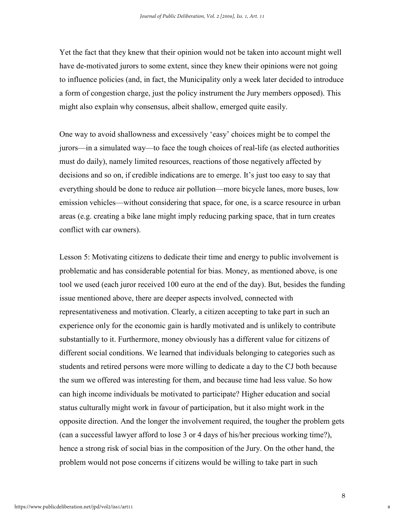Yet the fact that they knew that their opinion would not be taken into account might well have de-motivated jurors to some extent, since they knew their opinions were not going to influence policies (and, in fact, the Municipality only a week later decided to introduce a form of congestion charge, just the policy instrument the Jury members opposed). This might also explain why consensus, albeit shallow, emerged quite easily.

One way to avoid shallowness and excessively 'easy' choices might be to compel the jurors—in a simulated way—to face the tough choices of real-life (as elected authorities must do daily), namely limited resources, reactions of those negatively affected by decisions and so on, if credible indications are to emerge. It's just too easy to say that everything should be done to reduce air pollution—more bicycle lanes, more buses, low emission vehicles—without considering that space, for one, is a scarce resource in urban areas (e.g. creating a bike lane might imply reducing parking space, that in turn creates conflict with car owners).

Lesson 5: Motivating citizens to dedicate their time and energy to public involvement is problematic and has considerable potential for bias. Money, as mentioned above, is one tool we used (each juror received 100 euro at the end of the day). But, besides the funding issue mentioned above, there are deeper aspects involved, connected with representativeness and motivation. Clearly, a citizen accepting to take part in such an experience only for the economic gain is hardly motivated and is unlikely to contribute substantially to it. Furthermore, money obviously has a different value for citizens of different social conditions. We learned that individuals belonging to categories such as students and retired persons were more willing to dedicate a day to the CJ both because the sum we offered was interesting for them, and because time had less value. So how can high income individuals be motivated to participate? Higher education and social status culturally might work in favour of participation, but it also might work in the opposite direction. And the longer the involvement required, the tougher the problem gets (can a successful lawyer afford to lose 3 or 4 days of his/her precious working time?), hence a strong risk of social bias in the composition of the Jury. On the other hand, the problem would not pose concerns if citizens would be willing to take part in such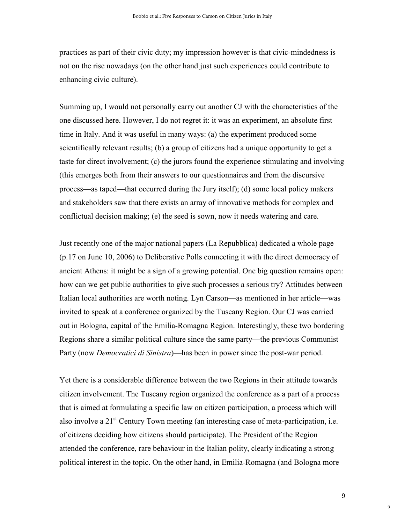practices as part of their civic duty; my impression however is that civic-mindedness is not on the rise nowadays (on the other hand just such experiences could contribute to enhancing civic culture).

Summing up, I would not personally carry out another CJ with the characteristics of the one discussed here. However, I do not regret it: it was an experiment, an absolute first time in Italy. And it was useful in many ways: (a) the experiment produced some scientifically relevant results; (b) a group of citizens had a unique opportunity to get a taste for direct involvement; (c) the jurors found the experience stimulating and involving (this emerges both from their answers to our questionnaires and from the discursive process—as taped—that occurred during the Jury itself); (d) some local policy makers and stakeholders saw that there exists an array of innovative methods for complex and conflictual decision making; (e) the seed is sown, now it needs watering and care.

Just recently one of the major national papers (La Repubblica) dedicated a whole page (p.17 on June 10, 2006) to Deliberative Polls connecting it with the direct democracy of ancient Athens: it might be a sign of a growing potential. One big question remains open: how can we get public authorities to give such processes a serious try? Attitudes between Italian local authorities are worth noting. Lyn Carson—as mentioned in her article—was invited to speak at a conference organized by the Tuscany Region. Our CJ was carried out in Bologna, capital of the Emilia-Romagna Region. Interestingly, these two bordering Regions share a similar political culture since the same party—the previous Communist Party (now *Democratici di Sinistra*)—has been in power since the post-war period.

Yet there is a considerable difference between the two Regions in their attitude towards citizen involvement. The Tuscany region organized the conference as a part of a process that is aimed at formulating a specific law on citizen participation, a process which will also involve a 21<sup>st</sup> Century Town meeting (an interesting case of meta-participation, i.e. of citizens deciding how citizens should participate). The President of the Region attended the conference, rare behaviour in the Italian polity, clearly indicating a strong political interest in the topic. On the other hand, in Emilia-Romagna (and Bologna more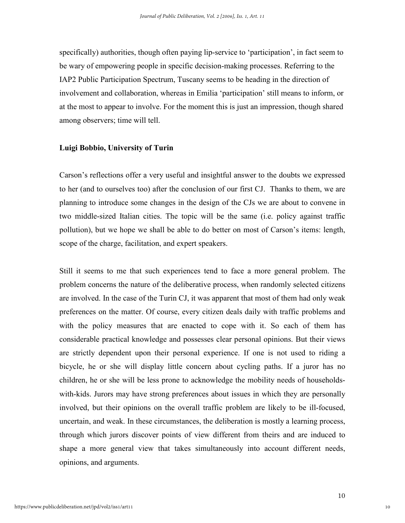specifically) authorities, though often paying lip-service to 'participation', in fact seem to be wary of empowering people in specific decision-making processes. Referring to the IAP2 Public Participation Spectrum, Tuscany seems to be heading in the direction of involvement and collaboration, whereas in Emilia 'participation' still means to inform, or at the most to appear to involve. For the moment this is just an impression, though shared among observers; time will tell.

#### **Luigi Bobbio, University of Turin**

Carson's reflections offer a very useful and insightful answer to the doubts we expressed to her (and to ourselves too) after the conclusion of our first CJ. Thanks to them, we are planning to introduce some changes in the design of the CJs we are about to convene in two middle-sized Italian cities. The topic will be the same (i.e. policy against traffic pollution), but we hope we shall be able to do better on most of Carson's items: length, scope of the charge, facilitation, and expert speakers.

Still it seems to me that such experiences tend to face a more general problem. The problem concerns the nature of the deliberative process, when randomly selected citizens are involved. In the case of the Turin CJ, it was apparent that most of them had only weak preferences on the matter. Of course, every citizen deals daily with traffic problems and with the policy measures that are enacted to cope with it. So each of them has considerable practical knowledge and possesses clear personal opinions. But their views are strictly dependent upon their personal experience. If one is not used to riding a bicycle, he or she will display little concern about cycling paths. If a juror has no children, he or she will be less prone to acknowledge the mobility needs of householdswith-kids. Jurors may have strong preferences about issues in which they are personally involved, but their opinions on the overall traffic problem are likely to be ill-focused, uncertain, and weak. In these circumstances, the deliberation is mostly a learning process, through which jurors discover points of view different from theirs and are induced to shape a more general view that takes simultaneously into account different needs, opinions, and arguments.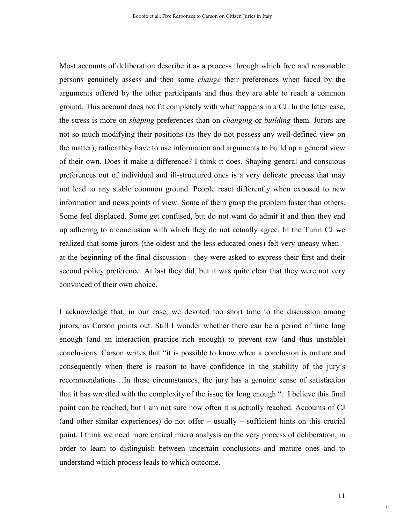Most accounts of deliberation describe it as a process through which free and reasonable persons genuinely assess and then some *change* their preferences when faced by the arguments offered by the other participants and thus they are able to reach a common ground. This account does not fit completely with what happens in a CJ. In the latter case, the stress is more on *shaping* preferences than on *changing* or *building* them. Jurors are not so much modifying their positions (as they do not possess any well-defined view on the matter), rather they have to use information and arguments to build up a general view of their own. Does it make a difference? I think it does. Shaping general and conscious preferences out of individual and ill-structured ones is a very delicate process that may not lead to any stable common ground. People react differently when exposed to new information and news points of view. Some of them grasp the problem faster than others. Some feel displaced. Some get confused, but do not want do admit it and then they end up adhering to a conclusion with which they do not actually agree. In the Turin CJ we realized that some jurors (the oldest and the less educated ones) felt very uneasy when – at the beginning of the final discussion - they were asked to express their first and their second policy preference. At last they did, but it was quite clear that they were not very convinced of their own choice.

I acknowledge that, in our case, we devoted too short time to the discussion among jurors, as Carson points out. Still I wonder whether there can be a period of time long enough (and an interaction practice rich enough) to prevent raw (and thus unstable) conclusions. Carson writes that "it is possible to know when a conclusion is mature and consequently when there is reason to have confidence in the stability of the jury's recommendations…In these circumstances, the jury has a genuine sense of satisfaction that it has wrestled with the complexity of the issue for long enough ". I believe this final point can be reached, but I am not sure how often it is actually reached. Accounts of CJ (and other similar experiences) do not offer – usually – sufficient hints on this crucial point. I think we need more critical micro analysis on the very process of deliberation, in order to learn to distinguish between uncertain conclusions and mature ones and to understand which process leads to which outcome.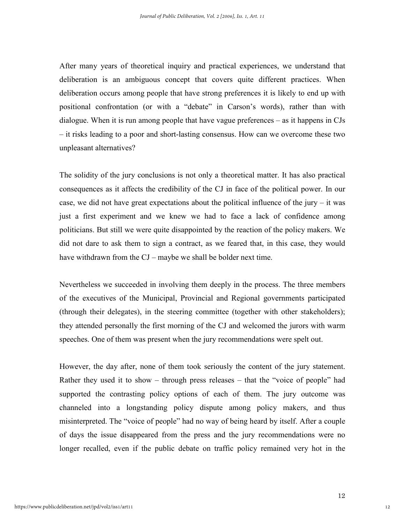After many years of theoretical inquiry and practical experiences, we understand that deliberation is an ambiguous concept that covers quite different practices. When deliberation occurs among people that have strong preferences it is likely to end up with positional confrontation (or with a "debate" in Carson's words), rather than with dialogue. When it is run among people that have vague preferences – as it happens in CJs – it risks leading to a poor and short-lasting consensus. How can we overcome these two unpleasant alternatives?

The solidity of the jury conclusions is not only a theoretical matter. It has also practical consequences as it affects the credibility of the CJ in face of the political power. In our case, we did not have great expectations about the political influence of the jury  $-$  it was just a first experiment and we knew we had to face a lack of confidence among politicians. But still we were quite disappointed by the reaction of the policy makers. We did not dare to ask them to sign a contract, as we feared that, in this case, they would have withdrawn from the CJ – maybe we shall be bolder next time.

Nevertheless we succeeded in involving them deeply in the process. The three members of the executives of the Municipal, Provincial and Regional governments participated (through their delegates), in the steering committee (together with other stakeholders); they attended personally the first morning of the CJ and welcomed the jurors with warm speeches. One of them was present when the jury recommendations were spelt out.

However, the day after, none of them took seriously the content of the jury statement. Rather they used it to show – through press releases – that the "voice of people" had supported the contrasting policy options of each of them. The jury outcome was channeled into a longstanding policy dispute among policy makers, and thus misinterpreted. The "voice of people" had no way of being heard by itself. After a couple of days the issue disappeared from the press and the jury recommendations were no longer recalled, even if the public debate on traffic policy remained very hot in the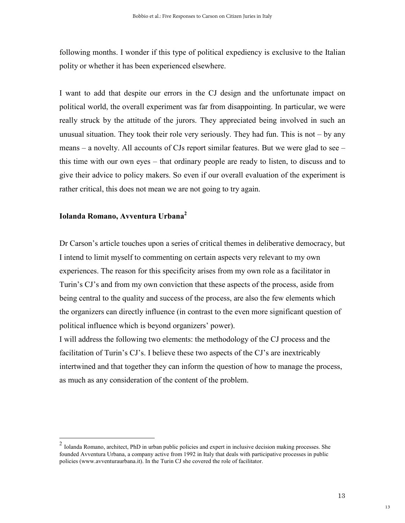following months. I wonder if this type of political expediency is exclusive to the Italian polity or whether it has been experienced elsewhere.

I want to add that despite our errors in the CJ design and the unfortunate impact on political world, the overall experiment was far from disappointing. In particular, we were really struck by the attitude of the jurors. They appreciated being involved in such an unusual situation. They took their role very seriously. They had fun. This is not – by any means – a novelty. All accounts of CJs report similar features. But we were glad to see – this time with our own eyes – that ordinary people are ready to listen, to discuss and to give their advice to policy makers. So even if our overall evaluation of the experiment is rather critical, this does not mean we are not going to try again.

### **Iolanda Romano, Avventura Urbana<sup>2</sup>**

Dr Carson's article touches upon a series of critical themes in deliberative democracy, but I intend to limit myself to commenting on certain aspects very relevant to my own experiences. The reason for this specificity arises from my own role as a facilitator in Turin's CJ's and from my own conviction that these aspects of the process, aside from being central to the quality and success of the process, are also the few elements which the organizers can directly influence (in contrast to the even more significant question of political influence which is beyond organizers' power).

I will address the following two elements: the methodology of the CJ process and the facilitation of Turin's CJ's. I believe these two aspects of the CJ's are inextricably intertwined and that together they can inform the question of how to manage the process, as much as any consideration of the content of the problem.

<sup>2</sup> Iolanda Romano, architect, PhD in urban public policies and expert in inclusive decision making processes. She founded Avventura Urbana, a company active from 1992 in Italy that deals with participative processes in public policies (www.avventuraurbana.it). In the Turin CJ she covered the role of facilitator.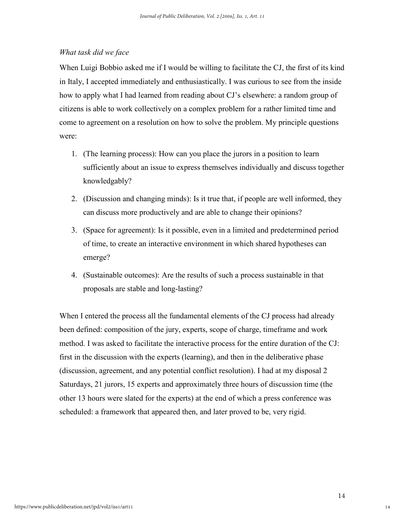#### *What task did we face*

When Luigi Bobbio asked me if I would be willing to facilitate the CJ, the first of its kind in Italy, I accepted immediately and enthusiastically. I was curious to see from the inside how to apply what I had learned from reading about CJ's elsewhere: a random group of citizens is able to work collectively on a complex problem for a rather limited time and come to agreement on a resolution on how to solve the problem. My principle questions were:

- 1. (The learning process): How can you place the jurors in a position to learn sufficiently about an issue to express themselves individually and discuss together knowledgably?
- 2. (Discussion and changing minds): Is it true that, if people are well informed, they can discuss more productively and are able to change their opinions?
- 3. (Space for agreement): Is it possible, even in a limited and predetermined period of time, to create an interactive environment in which shared hypotheses can emerge?
- 4. (Sustainable outcomes): Are the results of such a process sustainable in that proposals are stable and long-lasting?

When I entered the process all the fundamental elements of the CJ process had already been defined: composition of the jury, experts, scope of charge, timeframe and work method. I was asked to facilitate the interactive process for the entire duration of the CJ: first in the discussion with the experts (learning), and then in the deliberative phase (discussion, agreement, and any potential conflict resolution). I had at my disposal 2 Saturdays, 21 jurors, 15 experts and approximately three hours of discussion time (the other 13 hours were slated for the experts) at the end of which a press conference was scheduled: a framework that appeared then, and later proved to be, very rigid.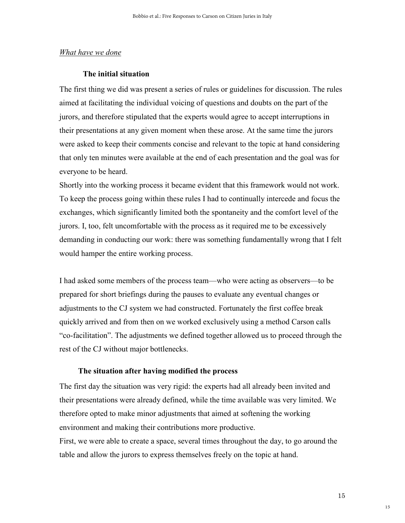#### *What have we done*

#### **The initial situation**

The first thing we did was present a series of rules or guidelines for discussion. The rules aimed at facilitating the individual voicing of questions and doubts on the part of the jurors, and therefore stipulated that the experts would agree to accept interruptions in their presentations at any given moment when these arose. At the same time the jurors were asked to keep their comments concise and relevant to the topic at hand considering that only ten minutes were available at the end of each presentation and the goal was for everyone to be heard.

Shortly into the working process it became evident that this framework would not work. To keep the process going within these rules I had to continually intercede and focus the exchanges, which significantly limited both the spontaneity and the comfort level of the jurors. I, too, felt uncomfortable with the process as it required me to be excessively demanding in conducting our work: there was something fundamentally wrong that I felt would hamper the entire working process.

I had asked some members of the process team—who were acting as observers—to be prepared for short briefings during the pauses to evaluate any eventual changes or adjustments to the CJ system we had constructed. Fortunately the first coffee break quickly arrived and from then on we worked exclusively using a method Carson calls "co-facilitation". The adjustments we defined together allowed us to proceed through the rest of the CJ without major bottlenecks.

#### **The situation after having modified the process**

The first day the situation was very rigid: the experts had all already been invited and their presentations were already defined, while the time available was very limited. We therefore opted to make minor adjustments that aimed at softening the working environment and making their contributions more productive. First, we were able to create a space, several times throughout the day, to go around the

table and allow the jurors to express themselves freely on the topic at hand.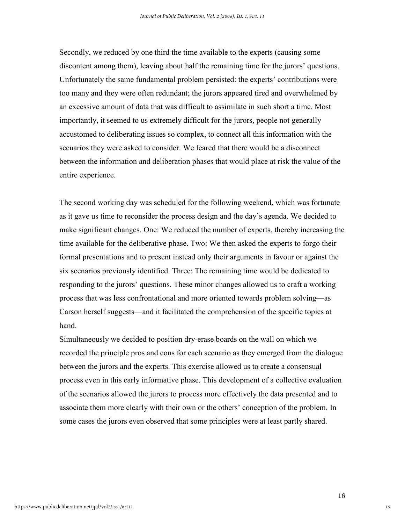Secondly, we reduced by one third the time available to the experts (causing some discontent among them), leaving about half the remaining time for the jurors' questions. Unfortunately the same fundamental problem persisted: the experts' contributions were too many and they were often redundant; the jurors appeared tired and overwhelmed by an excessive amount of data that was difficult to assimilate in such short a time. Most importantly, it seemed to us extremely difficult for the jurors, people not generally accustomed to deliberating issues so complex, to connect all this information with the scenarios they were asked to consider. We feared that there would be a disconnect between the information and deliberation phases that would place at risk the value of the entire experience.

The second working day was scheduled for the following weekend, which was fortunate as it gave us time to reconsider the process design and the day's agenda. We decided to make significant changes. One: We reduced the number of experts, thereby increasing the time available for the deliberative phase. Two: We then asked the experts to forgo their formal presentations and to present instead only their arguments in favour or against the six scenarios previously identified. Three: The remaining time would be dedicated to responding to the jurors' questions. These minor changes allowed us to craft a working process that was less confrontational and more oriented towards problem solving—as Carson herself suggests—and it facilitated the comprehension of the specific topics at hand.

Simultaneously we decided to position dry-erase boards on the wall on which we recorded the principle pros and cons for each scenario as they emerged from the dialogue between the jurors and the experts. This exercise allowed us to create a consensual process even in this early informative phase. This development of a collective evaluation of the scenarios allowed the jurors to process more effectively the data presented and to associate them more clearly with their own or the others' conception of the problem. In some cases the jurors even observed that some principles were at least partly shared.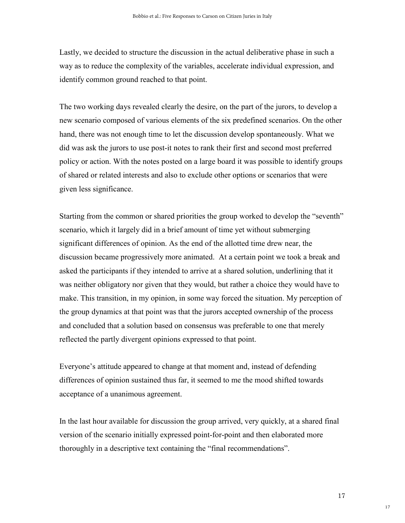Lastly, we decided to structure the discussion in the actual deliberative phase in such a way as to reduce the complexity of the variables, accelerate individual expression, and identify common ground reached to that point.

The two working days revealed clearly the desire, on the part of the jurors, to develop a new scenario composed of various elements of the six predefined scenarios. On the other hand, there was not enough time to let the discussion develop spontaneously. What we did was ask the jurors to use post-it notes to rank their first and second most preferred policy or action. With the notes posted on a large board it was possible to identify groups of shared or related interests and also to exclude other options or scenarios that were given less significance.

Starting from the common or shared priorities the group worked to develop the "seventh" scenario, which it largely did in a brief amount of time yet without submerging significant differences of opinion. As the end of the allotted time drew near, the discussion became progressively more animated. At a certain point we took a break and asked the participants if they intended to arrive at a shared solution, underlining that it was neither obligatory nor given that they would, but rather a choice they would have to make. This transition, in my opinion, in some way forced the situation. My perception of the group dynamics at that point was that the jurors accepted ownership of the process and concluded that a solution based on consensus was preferable to one that merely reflected the partly divergent opinions expressed to that point.

Everyone's attitude appeared to change at that moment and, instead of defending differences of opinion sustained thus far, it seemed to me the mood shifted towards acceptance of a unanimous agreement.

In the last hour available for discussion the group arrived, very quickly, at a shared final version of the scenario initially expressed point-for-point and then elaborated more thoroughly in a descriptive text containing the "final recommendations".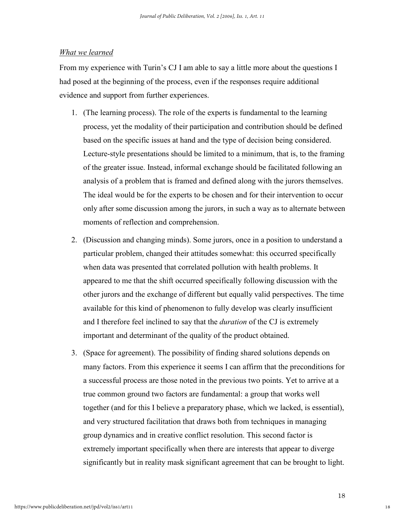#### *What we learned*

From my experience with Turin's CJ I am able to say a little more about the questions I had posed at the beginning of the process, even if the responses require additional evidence and support from further experiences.

- 1. (The learning process). The role of the experts is fundamental to the learning process, yet the modality of their participation and contribution should be defined based on the specific issues at hand and the type of decision being considered. Lecture-style presentations should be limited to a minimum, that is, to the framing of the greater issue. Instead, informal exchange should be facilitated following an analysis of a problem that is framed and defined along with the jurors themselves. The ideal would be for the experts to be chosen and for their intervention to occur only after some discussion among the jurors, in such a way as to alternate between moments of reflection and comprehension.
- 2. (Discussion and changing minds). Some jurors, once in a position to understand a particular problem, changed their attitudes somewhat: this occurred specifically when data was presented that correlated pollution with health problems. It appeared to me that the shift occurred specifically following discussion with the other jurors and the exchange of different but equally valid perspectives. The time available for this kind of phenomenon to fully develop was clearly insufficient and I therefore feel inclined to say that the *duration* of the CJ is extremely important and determinant of the quality of the product obtained.
- 3. (Space for agreement). The possibility of finding shared solutions depends on many factors. From this experience it seems I can affirm that the preconditions for a successful process are those noted in the previous two points. Yet to arrive at a true common ground two factors are fundamental: a group that works well together (and for this I believe a preparatory phase, which we lacked, is essential), and very structured facilitation that draws both from techniques in managing group dynamics and in creative conflict resolution. This second factor is extremely important specifically when there are interests that appear to diverge significantly but in reality mask significant agreement that can be brought to light.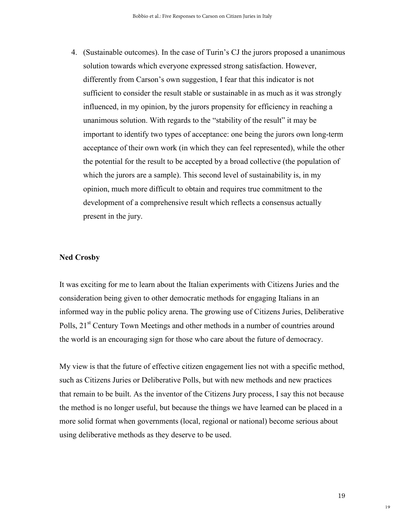4. (Sustainable outcomes). In the case of Turin's CJ the jurors proposed a unanimous solution towards which everyone expressed strong satisfaction. However, differently from Carson's own suggestion, I fear that this indicator is not sufficient to consider the result stable or sustainable in as much as it was strongly influenced, in my opinion, by the jurors propensity for efficiency in reaching a unanimous solution. With regards to the "stability of the result" it may be important to identify two types of acceptance: one being the jurors own long-term acceptance of their own work (in which they can feel represented), while the other the potential for the result to be accepted by a broad collective (the population of which the jurors are a sample). This second level of sustainability is, in my opinion, much more difficult to obtain and requires true commitment to the development of a comprehensive result which reflects a consensus actually present in the jury.

#### **Ned Crosby**

It was exciting for me to learn about the Italian experiments with Citizens Juries and the consideration being given to other democratic methods for engaging Italians in an informed way in the public policy arena. The growing use of Citizens Juries, Deliberative Polls, 21<sup>st</sup> Century Town Meetings and other methods in a number of countries around the world is an encouraging sign for those who care about the future of democracy.

My view is that the future of effective citizen engagement lies not with a specific method, such as Citizens Juries or Deliberative Polls, but with new methods and new practices that remain to be built. As the inventor of the Citizens Jury process, I say this not because the method is no longer useful, but because the things we have learned can be placed in a more solid format when governments (local, regional or national) become serious about using deliberative methods as they deserve to be used.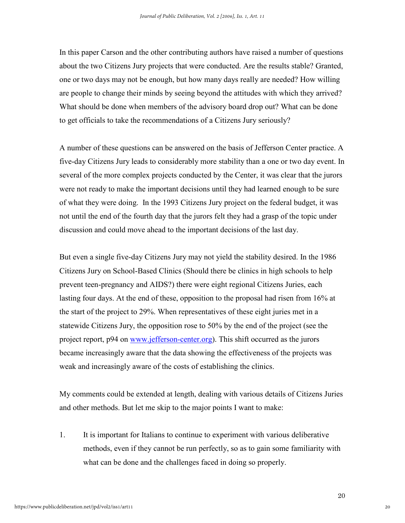In this paper Carson and the other contributing authors have raised a number of questions about the two Citizens Jury projects that were conducted. Are the results stable? Granted, one or two days may not be enough, but how many days really are needed? How willing are people to change their minds by seeing beyond the attitudes with which they arrived? What should be done when members of the advisory board drop out? What can be done to get officials to take the recommendations of a Citizens Jury seriously?

A number of these questions can be answered on the basis of Jefferson Center practice. A five-day Citizens Jury leads to considerably more stability than a one or two day event. In several of the more complex projects conducted by the Center, it was clear that the jurors were not ready to make the important decisions until they had learned enough to be sure of what they were doing. In the 1993 Citizens Jury project on the federal budget, it was not until the end of the fourth day that the jurors felt they had a grasp of the topic under discussion and could move ahead to the important decisions of the last day.

But even a single five-day Citizens Jury may not yield the stability desired. In the 1986 Citizens Jury on School-Based Clinics (Should there be clinics in high schools to help prevent teen-pregnancy and AIDS?) there were eight regional Citizens Juries, each lasting four days. At the end of these, opposition to the proposal had risen from 16% at the start of the project to 29%. When representatives of these eight juries met in a statewide Citizens Jury, the opposition rose to 50% by the end of the project (see the project report, p94 on www.jefferson-center.org). This shift occurred as the jurors became increasingly aware that the data showing the effectiveness of the projects was weak and increasingly aware of the costs of establishing the clinics.

My comments could be extended at length, dealing with various details of Citizens Juries and other methods. But let me skip to the major points I want to make:

1. It is important for Italians to continue to experiment with various deliberative methods, even if they cannot be run perfectly, so as to gain some familiarity with what can be done and the challenges faced in doing so properly.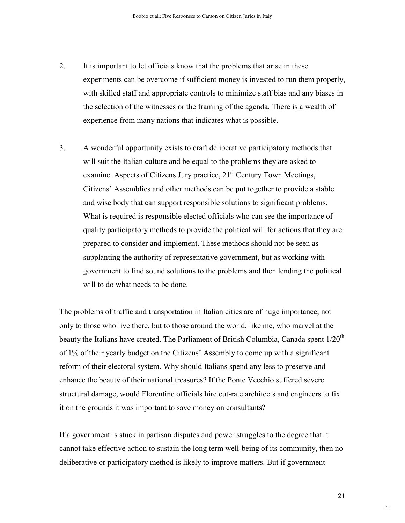- 2. It is important to let officials know that the problems that arise in these experiments can be overcome if sufficient money is invested to run them properly, with skilled staff and appropriate controls to minimize staff bias and any biases in the selection of the witnesses or the framing of the agenda. There is a wealth of experience from many nations that indicates what is possible.
- 3. A wonderful opportunity exists to craft deliberative participatory methods that will suit the Italian culture and be equal to the problems they are asked to examine. Aspects of Citizens Jury practice,  $21<sup>st</sup>$  Century Town Meetings, Citizens' Assemblies and other methods can be put together to provide a stable and wise body that can support responsible solutions to significant problems. What is required is responsible elected officials who can see the importance of quality participatory methods to provide the political will for actions that they are prepared to consider and implement. These methods should not be seen as supplanting the authority of representative government, but as working with government to find sound solutions to the problems and then lending the political will to do what needs to be done.

The problems of traffic and transportation in Italian cities are of huge importance, not only to those who live there, but to those around the world, like me, who marvel at the beauty the Italians have created. The Parliament of British Columbia, Canada spent  $1/20<sup>th</sup>$ of 1% of their yearly budget on the Citizens' Assembly to come up with a significant reform of their electoral system. Why should Italians spend any less to preserve and enhance the beauty of their national treasures? If the Ponte Vecchio suffered severe structural damage, would Florentine officials hire cut-rate architects and engineers to fix it on the grounds it was important to save money on consultants?

If a government is stuck in partisan disputes and power struggles to the degree that it cannot take effective action to sustain the long term well-being of its community, then no deliberative or participatory method is likely to improve matters. But if government